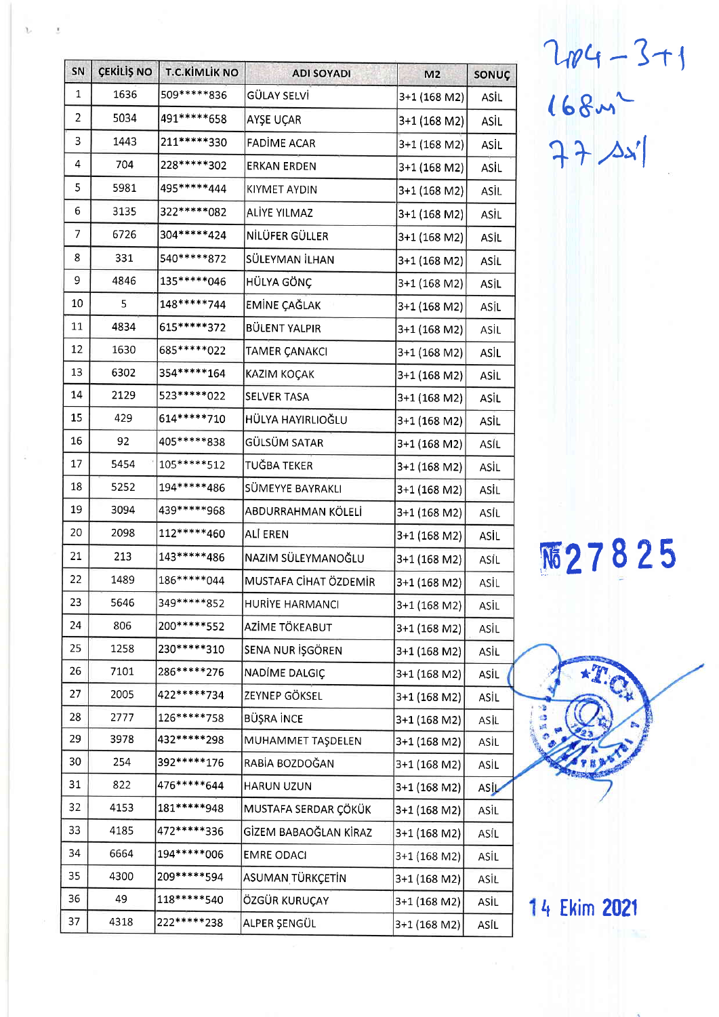| SN             | ÇEKİLİŞ NO | <b>T.C.KİMLİK NO</b> | <b>ADI SOYADI</b>     | M <sub>2</sub> | SONUÇ       |
|----------------|------------|----------------------|-----------------------|----------------|-------------|
| 1              | 1636       | 509*****836          | GÜLAY SELVİ           | $3+1$ (168 M2) | ASİL        |
| $\overline{2}$ | 5034       | 491 ***** 658        | AYŞE UÇAR             | 3+1 (168 M2)   | ASİL        |
| 3              | 1443       | 211******330         | FADİME ACAR           | 3+1 (168 M2)   | ASİL        |
| 4              | 704        | 228*****302          | <b>ERKAN ERDEN</b>    | 3+1 (168 M2)   | ASİL        |
| 5              | 5981       | 495*****444          | KIYMET AYDIN          | 3+1 (168 M2)   | ASİL        |
| 6              | 3135       | 322 ***** 082        | ALIYE YILMAZ          | 3+1 (168 M2)   | ASİL        |
| 7              | 6726       | 304*****424          | NİLÜFER GÜLLER        | 3+1 (168 M2)   | ASİL        |
| 8              | 331        | 540*****872          | SÜLEYMAN İLHAN        | 3+1 (168 M2)   | ASİL        |
| 9              | 4846       | 135******046         | HÜLYA GÖNÇ            | 3+1 (168 M2)   | ASİL        |
| 10             | 5          | 148*****744          | EMİNE ÇAĞLAK          | 3+1 (168 M2)   | ASİL        |
| 11             | 4834       | 615*****372          | <b>BÜLENT YALPIR</b>  | 3+1 (168 M2)   | ASİL        |
| 12             | 1630       | 685*****022          | <b>TAMER ÇANAKCI</b>  | 3+1 (168 M2)   | ASİL        |
| 13             | 6302       | 354 ***** 164        | KAZIM KOÇAK           | 3+1 (168 M2)   | ASİL        |
| 14             | 2129       | 523 ***** 022        | SELVER TASA           | 3+1 (168 M2)   | ASİL        |
| 15             | 429        | 614 ***** 710        | HÜLYA HAYIRLIOĞLU     | 3+1 (168 M2)   | ASİL        |
| 16             | 92         | 405*****838          | GÜLSÜM SATAR          | 3+1 (168 M2)   | ASİL        |
| 17             | 5454       | 105*****512          | TUĞBA TEKER           | 3+1 (168 M2)   | ASİL        |
| 18             | 5252       | 194*****486          | SÜMEYYE BAYRAKLI      | 3+1 (168 M2)   | ASİL        |
| 19             | 3094       | 439 ***** 968        | ABDURRAHMAN KÖLELİ    | 3+1 (168 M2)   | ASİL        |
| 20             | 2098       | 112*****460          | ALI EREN              | 3+1 (168 M2)   | ASİL        |
| 21             | 213        | 143*****486          | NAZIM SÜLEYMANOĞLU    | 3+1 (168 M2)   | ASİL        |
| 22             | 1489       | 186*****044          | MUSTAFA CİHAT ÖZDEMİR | 3+1 (168 M2)   | ASİL        |
| 23             | 5646       | 349*****852          | HURİYE HARMANCI       | 3+1 (168 M2)   | ASIL        |
| 24             | 806        | 200******552         | AZİME TÖKEABUT        | 3+1 (168 M2)   | ASİL        |
| 25             | 1258       | 230******310         | SENA NUR İŞGÖREN      | 3+1 (168 M2)   | ASİL        |
| 26             | 7101       | 286*****276          | NADIME DALGIÇ         | 3+1 (168 M2)   | <b>ASİL</b> |
| 27             | 2005       | 422*****734          | ZEYNEP GÖKSEL         | 3+1 (168 M2)   | ASİL        |
| 28             | 2777       | 126*****758          | BÜŞRA İNCE            | 3+1 (168 M2)   | ASİL        |
| 29             | 3978       | 432 ***** 298        | MUHAMMET TAŞDELEN     | 3+1 (168 M2)   | ASÌL        |
| 30             | 254        | 392 ***** 176        | RABİA BOZDOĞAN        | 3+1 (168 M2)   | ASİL        |
| 31             | 822        | 476*****644          | <b>HARUN UZUN</b>     | 3+1 (168 M2)   | ASIL        |
| 32             | 4153       | 181*****948          | MUSTAFA SERDAR ÇÖKÜK  | 3+1 (168 M2)   | ASİL        |
| 33             | 4185       | 472*****336          | GİZEM BABAOĞLAN KİRAZ | 3+1 (168 M2)   | ASİL        |
| 34             | 6664       | 194*****006          | <b>EMRE ODACI</b>     | 3+1 (168 M2)   | ASİL        |
| 35             | 4300       | 209 ***** 594        | ASUMAN TÜRKÇETİN      | 3+1 (168 M2)   | ASİL        |
| 36             | 49         | 118*****540          | ÖZGÜR KURUÇAY         | 3+1 (168 M2)   | ASİL        |
| 37             | 4318       | 222*****238          | ALPER ŞENGÜL          | 3+1 (168 M2)   | ASİL        |

 $2104 - 3 + 1$ <br>  $168 - 3$ <br>  $77 - 321$ 

丽27825



14 Ekim 2021

 $\lambda$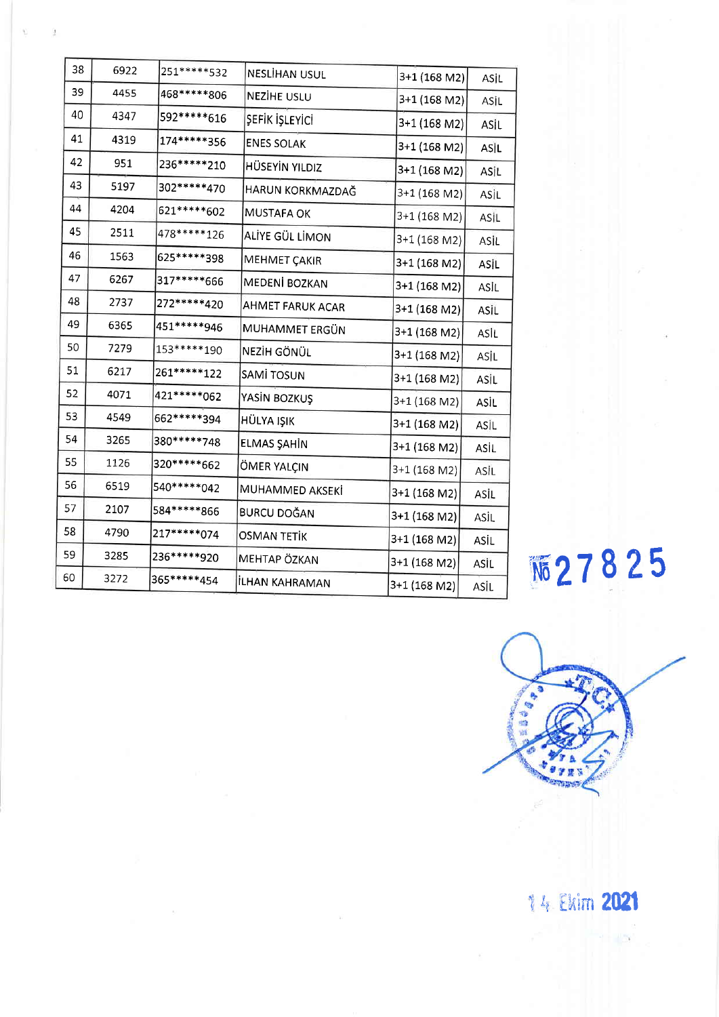| 38 | 6922 | 251 ***** 532   | NESLİHAN USUL         | 3+1 (168 M2)   | ASİL |
|----|------|-----------------|-----------------------|----------------|------|
| 39 | 4455 | 468*****806     | NEZIHE USLU           | 3+1 (168 M2)   | ASİL |
| 40 | 4347 | 592*****616     | ŞEFİK İŞLEYİCİ        | 3+1 (168 M2)   | ASİL |
| 41 | 4319 | 174*****356     | <b>ENES SOLAK</b>     | 3+1 (168 M2)   | ASIL |
| 42 | 951  | 236******210    | <b>HÜSEYİN YILDIZ</b> | 3+1 (168 M2)   | ASİL |
| 43 | 5197 | 302 ***** 470   | HARUN KORKMAZDAĞ      | 3+1 (168 M2)   | ASİL |
| 44 | 4204 | 621 ***** * 602 | MUSTAFA OK            | $3+1$ (168 M2) | ASİL |
| 45 | 2511 | 478*****126     | ALİYE GÜL LİMON       | 3+1 (168 M2)   | ASİL |
| 46 | 1563 | 625******398    | MEHMET ÇAKIR          | 3+1 (168 M2)   | ASİL |
| 47 | 6267 | 317*****666     | MEDENİ BOZKAN         | 3+1 (168 M2)   | ASİL |
| 48 | 2737 | 272 ***** 420   | AHMET FARUK ACAR      | 3+1 (168 M2)   | ASİL |
| 49 | 6365 | 451 ***** 946   | MUHAMMET ERGÜN        | 3+1 (168 M2)   | ASİL |
| 50 | 7279 | 153******190    | NEZİH GÖNÜL           | 3+1 (168 M2)   | ASIL |
| 51 | 6217 | 261******122    | SAMI TOSUN            | 3+1 (168 M2)   | ASIL |
| 52 | 4071 | 421 ***** * 062 | YASİN BOZKUŞ          | 3+1 (168 M2)   | ASİL |
| 53 | 4549 | 662*****394     | <b>HÜLYA IŞIK</b>     | 3+1 (168 M2)   | ASİL |
| 54 | 3265 | 380******748    | ELMAS ŞAHİN           | 3+1 (168 M2)   | ASİL |
| 55 | 1126 | 320*****662     | ÖMER YALÇIN           | 3+1 (168 M2)   | ASİL |
| 56 | 6519 | 540******042    | MUHAMMED AKSEKİ       | 3+1 (168 M2)   | ASİL |
| 57 | 2107 | 584*****866     | <b>BURCU DOĞAN</b>    | 3+1 (168 M2)   | ASİL |
| 58 | 4790 | 217*****074     | <b>OSMAN TETİK</b>    | 3+1 (168 M2)   | ASİL |
| 59 | 3285 | 236*****920     | MEHTAP ÖZKAN          | 3+1 (168 M2)   | ASİL |
| 60 | 3272 | 365******454    | İLHAN KAHRAMAN        | 3+1 (168 M2)   | ASİL |
|    |      |                 |                       |                |      |

顺27825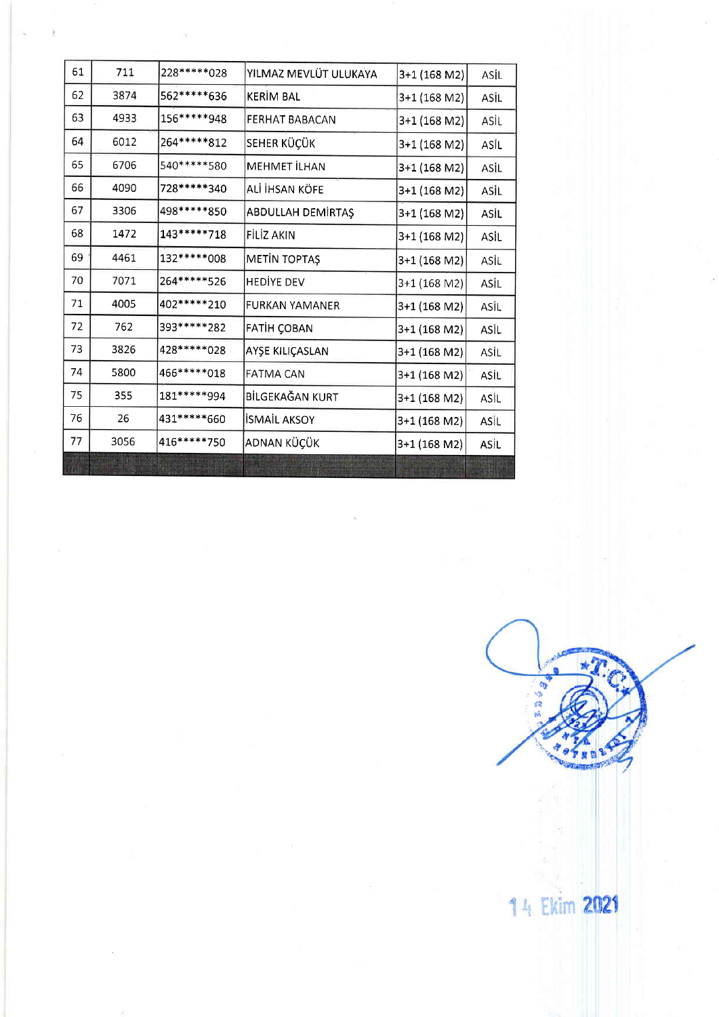| 61 | 711  | 228*****028   | YILMAZ MEVLÜT ULUKAYA | 3+1 (168 M2) | ASİL |
|----|------|---------------|-----------------------|--------------|------|
| 62 | 3874 | 562*****636   | KERIM BAL             | 3+1 (168 M2) | ASİL |
| 63 | 4933 | 156*****948   | FERHAT BABACAN        | 3+1 (168 M2) | ASİL |
| 64 | 6012 | 264*****812   | SEHER KÜÇÜK           | 3+1 (168 M2) | ASİL |
| 65 | 6706 | 540*****580   | MEHMET İLHAN          | 3+1 (168 M2) | ASIL |
| 66 | 4090 | 728*****340   | ALİ İHSAN KÖFE        | 3+1 (168 M2) | ASİL |
| 67 | 3306 | 498*****850   | ABDULLAH DEMIRTAŞ     | 3+1 (168 M2) | ASIL |
| 68 | 1472 | 143******718  | FİLİZ AKIN            | 3+1 (168 M2) | ASIL |
| 69 | 4461 | 132******008  | <b>METIN TOPTAŞ</b>   | 3+1 (168 M2) | ASİL |
| 70 | 7071 | 264 ***** 526 | <b>HEDIYE DEV</b>     | 3+1 (168 M2) | ASİL |
| 71 | 4005 | 402*****210   | <b>FURKAN YAMANER</b> | 3+1 (168 M2) | ASİL |
| 72 | 762  | 393*****282   | FATIH ÇOBAN           | 3+1 (168 M2) | ASİL |
| 73 | 3826 | 428*****028   | AYŞE KILIÇASLAN       | 3+1 (168 M2) | ASİL |
| 74 | 5800 | 466******018  | <b>FATMA CAN</b>      | 3+1 (168 M2) | ASİL |
| 75 | 355  | 181*****994   | BİLGEKAĞAN KURT       | 3+1 (168 M2) | ASİL |
| 76 | 26   | 431 ***** 660 | <b>İSMAİL AKSOY</b>   | 3+1 (168 M2) | ASİL |
| 77 | 3056 | 416*****750   | ADNAN KÜÇÜK           | 3+1 (168 M2) | ASİL |
|    |      |               |                       |              |      |

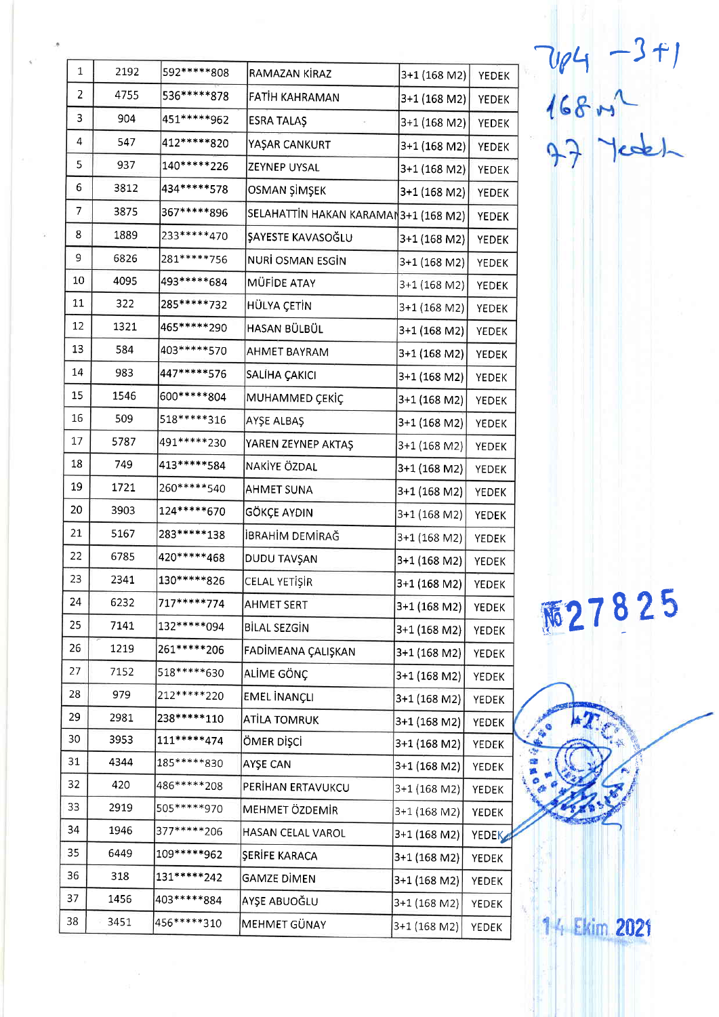| $\mathbf{1}$ | 2192 | 592 ***** 808   | RAMAZAN KİRAZ                         | 3+1 (168 M2)   | <b>YEDEK</b> |
|--------------|------|-----------------|---------------------------------------|----------------|--------------|
| 2            | 4755 | 536*****878     | FATIH KAHRAMAN                        | 3+1 (168 M2)   | YEDEK        |
| 3            | 904  | 451 ***** 962   | <b>ESRA TALAS</b>                     | $3+1$ (168 M2) | <b>YEDEK</b> |
| 4            | 547  | 412*****820     | YAŞAR CANKURT                         | 3+1 (168 M2)   | <b>YEDEK</b> |
| 5            | 937  | 140*****226     | ZEYNEP UYSAL                          | 3+1 (168 M2)   | YEDEK        |
| 6            | 3812 | 434*****578     | OSMAN ŞİMŞEK                          | 3+1 (168 M2)   | YEDEK        |
| 7            | 3875 | 367*****896     | SELAHATTİN HAKAN KARAMAN 3+1 (168 M2) |                | YEDEK        |
| 8            | 1889 | 233 ***** 470   | ŞAYESTE KAVASOĞLU                     | 3+1 (168 M2)   | YEDEK        |
| 9            | 6826 | 281 ***** 756   | NURİ OSMAN ESGİN                      | 3+1 (168 M2)   | YEDEK        |
| 10           | 4095 | 493*****684     | MÜFİDE ATAY                           | 3+1 (168 M2)   | YEDEK        |
| 11           | 322  | 285 ***** * 732 | HÜLYA ÇETİN                           | 3+1 (168 M2)   | YEDEK        |
| 12           | 1321 | 465 ***** 290   | HASAN BÜLBÜL                          | 3+1 (168 M2)   | <b>YEDEK</b> |
| 13           | 584  | 403 ***** 570   | AHMET BAYRAM                          | 3+1 (168 M2)   | <b>YEDEK</b> |
| 14           | 983  | 447*****576     | SALĪHA ÇAKICI                         | 3+1 (168 M2)   | YEDEK        |
| 15           | 1546 | 600 ***** 804   | MUHAMMED ÇEKİÇ                        | 3+1 (168 M2)   | YEDEK        |
| 16           | 509  | 518*****316     | AYŞE ALBAŞ                            | $3+1$ (168 M2) | YEDEK        |
| 17           | 5787 | 491 ***** 230   | YAREN ZEYNEP AKTAŞ                    | 3+1 (168 M2)   | YEDEK        |
| 18           | 749  | 413*****584     | NAKİYE ÖZDAL                          | 3+1 (168 M2)   | YEDEK        |
| 19           | 1721 | 260 ***** 540   | <b>AHMET SUNA</b>                     | 3+1 (168 M2)   | YEDEK        |
| 20           | 3903 | 124*****670     | GÖKÇE AYDIN                           | 3+1 (168 M2)   | <b>YEDEK</b> |
| 21           | 5167 | 283******138    | İBRAHİM DEMİRAĞ                       | 3+1 (168 M2)   | YEDEK        |
| 22           | 6785 | 420*****468     | DUDU TAVŞAN                           | 3+1 (168 M2)   | YEDEK        |
| 23           | 2341 | 130*****826     | CELAL YETİŞİR                         | 3+1 (168 M2)   | YEDEK        |
| 24           | 6232 | 717*****774     | <b>AHMET SERT</b>                     | 3+1 (168 M2)   | YEDEK        |
| 25           | 7141 | 132*****094     | BİLAL SEZGİN                          | 3+1 (168 M2)   | YEDEK        |
| 26           | 1219 | 261******206    | FADİMEANA ÇALIŞKAN                    | 3+1 (168 M2)   | YEDEK        |
| 27           | 7152 | 518*****630     | ALİME GÖNÇ                            | 3+1 (168 M2)   | <b>YEDEK</b> |
| 28           | 979  | 212 ***** 220   | EMEL İNANÇLI                          | 3+1 (168 M2)   | <b>YEDEK</b> |
| 29           | 2981 | 238*****110     | ATİLA TOMRUK                          | 3+1 (168 M2)   | <b>YEDEK</b> |
| 30           | 3953 | 111*****474     | ÖMER DİŞCİ                            | 3+1 (168 M2)   | YEDEK        |
| 31           | 4344 | 185******830    | AYŞE CAN                              | 3+1 (168 M2)   | YEDEK        |
| 32           | 420  | 486******208    | PERİHAN ERTAVUKCU                     | 3+1 (168 M2)   | <b>YEDEK</b> |
| 33           | 2919 | 505 ***** 970   | MEHMET ÖZDEMİR                        | 3+1 (168 M2)   | <b>YEDEK</b> |
| 34           | 1946 | 377*****206     | HASAN CELAL VAROL                     | 3+1 (168 M2)   | YEDEK        |
| 35           | 6449 | 109*****962     | ŞERİFE KARACA                         | 3+1 (168 M2)   | YEDEK        |
| 36           | 318  | 131******242    | GAMZE DİMEN                           | 3+1 (168 M2)   | <b>YEDEK</b> |
| 37           | 1456 | 403 ***** 884   | AYŞE ABUOĞLU                          | 3+1 (168 M2)   | YEDEK        |
| 38           | 3451 | 456******310    | MEHMET GÜNAY                          | 3+1 (168 M2)   | YEDEK        |

7184 - 3+1<br>168 m2<br>A3 Test

**兩27825**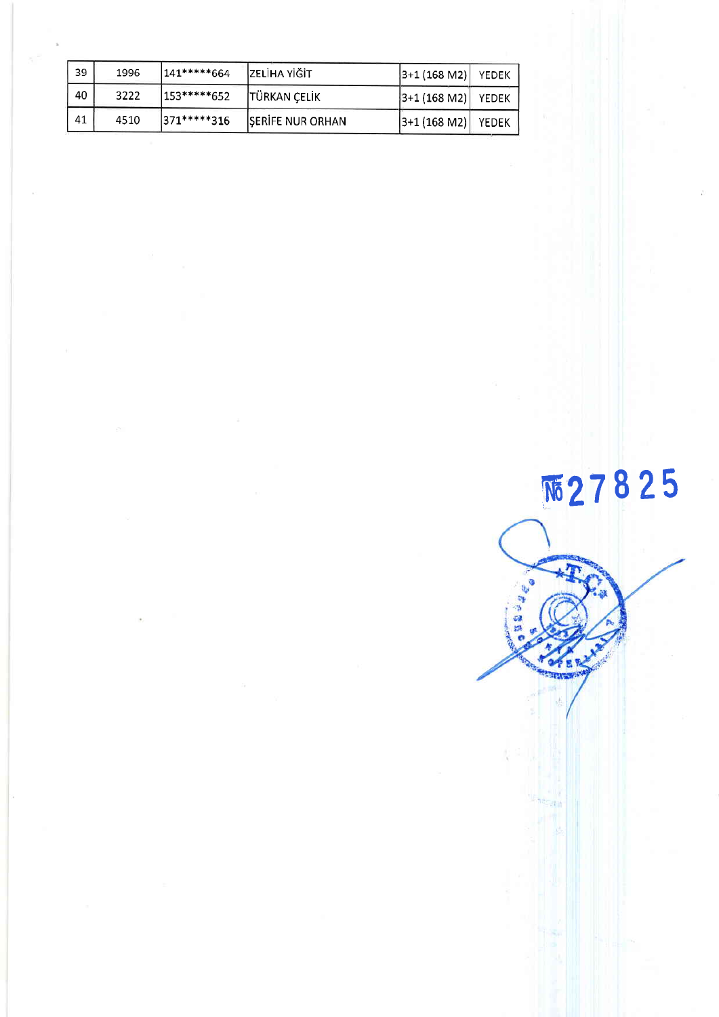| 39 | 1996 | 141*****664  | ZELİHA YİĞİT        | $ 3+1(168 M2) $       | YEDEK |
|----|------|--------------|---------------------|-----------------------|-------|
| 40 | 3222 | 1153*****652 | <b>TÜRKAN ÇELİK</b> | $ 3+1$ (168 M2) YEDEK |       |
| 41 | 4510 | 371*****316  | SERIFE NUR ORHAN    | $ 3+1$ (168 M2) YEDEK |       |